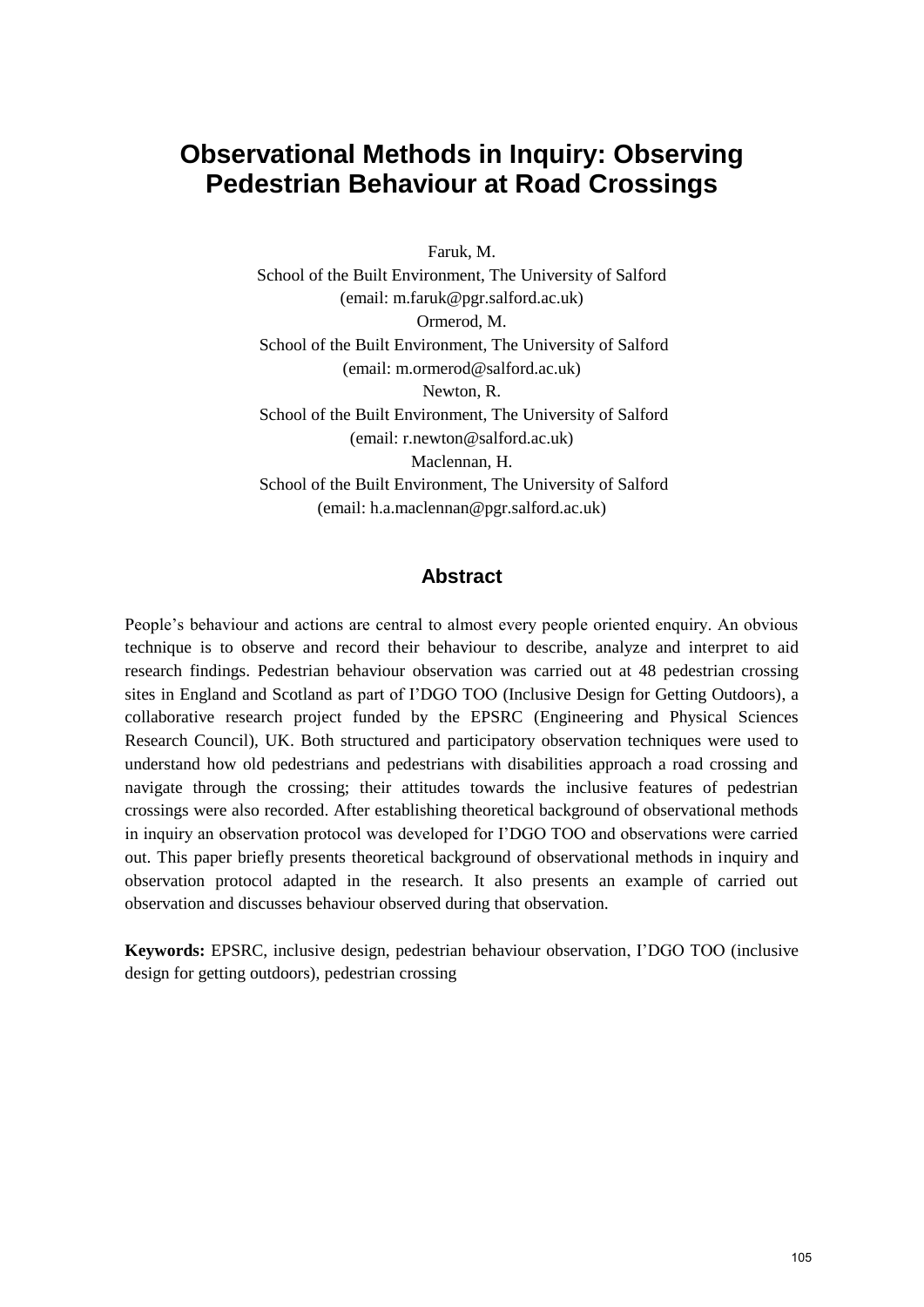# **Observational Methods in Inquiry: Observing Pedestrian Behaviour at Road Crossings**

Faruk, M. School of the Built Environment, The University of Salford (email: m.faruk@pgr.salford.ac.uk) Ormerod, M. School of the Built Environment, The University of Salford (email: m.ormerod@salford.ac.uk) Newton, R. School of the Built Environment, The University of Salford (email: r.newton@salford.ac.uk) Maclennan, H. School of the Built Environment, The University of Salford (email: h.a.maclennan@pgr.salford.ac.uk)

#### **Abstract**

People"s behaviour and actions are central to almost every people oriented enquiry. An obvious technique is to observe and record their behaviour to describe, analyze and interpret to aid research findings. Pedestrian behaviour observation was carried out at 48 pedestrian crossing sites in England and Scotland as part of I"DGO TOO (Inclusive Design for Getting Outdoors), a collaborative research project funded by the EPSRC (Engineering and Physical Sciences Research Council), UK. Both structured and participatory observation techniques were used to understand how old pedestrians and pedestrians with disabilities approach a road crossing and navigate through the crossing; their attitudes towards the inclusive features of pedestrian crossings were also recorded. After establishing theoretical background of observational methods in inquiry an observation protocol was developed for I"DGO TOO and observations were carried out. This paper briefly presents theoretical background of observational methods in inquiry and observation protocol adapted in the research. It also presents an example of carried out observation and discusses behaviour observed during that observation.

**Keywords:** EPSRC, inclusive design, pedestrian behaviour observation, I"DGO TOO (inclusive design for getting outdoors), pedestrian crossing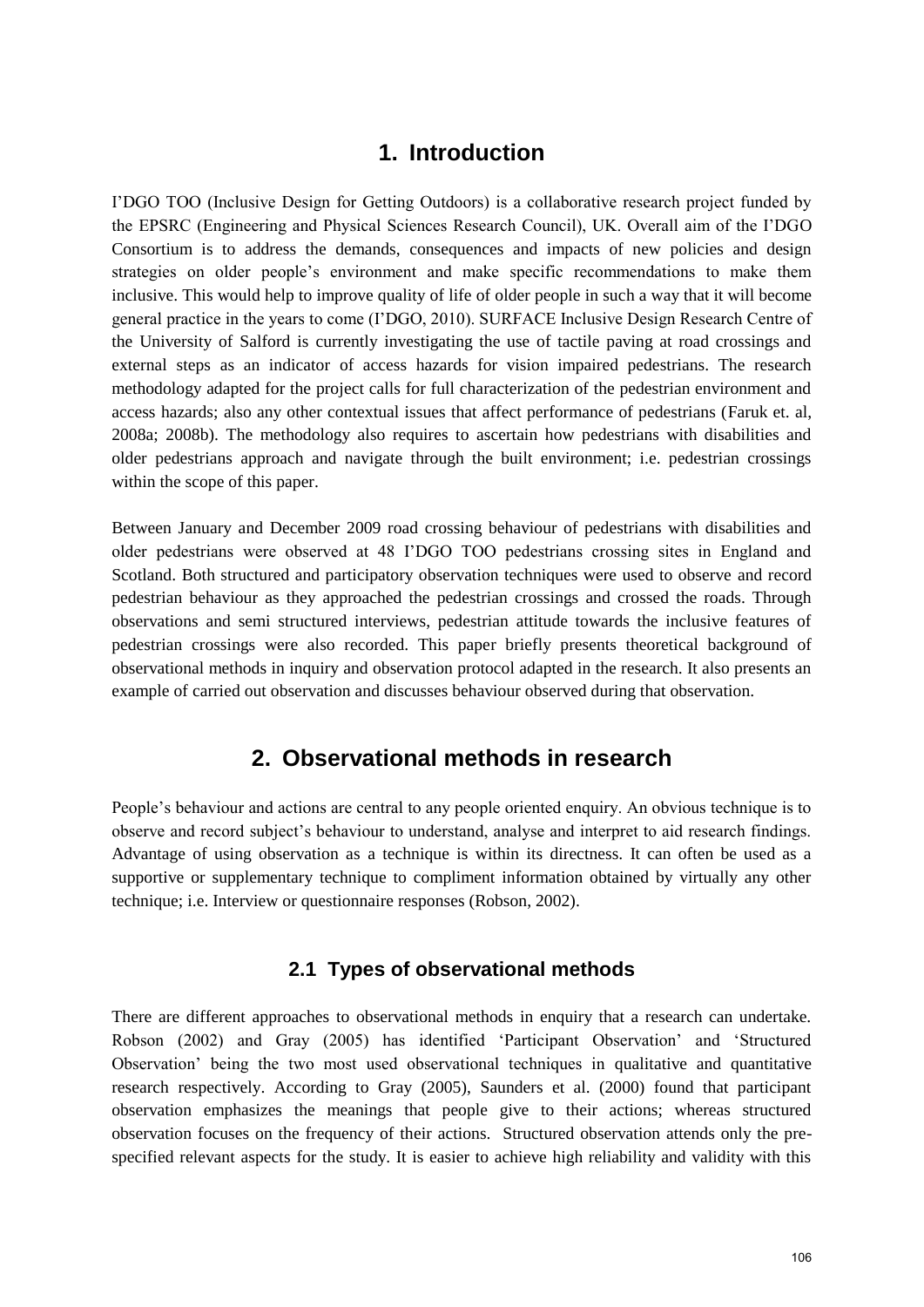### **1. Introduction**

I"DGO TOO (Inclusive Design for Getting Outdoors) is a collaborative research project funded by the EPSRC (Engineering and Physical Sciences Research Council), UK. Overall aim of the I"DGO Consortium is to address the demands, consequences and impacts of new policies and design strategies on older people"s environment and make specific recommendations to make them inclusive. This would help to improve quality of life of older people in such a way that it will become general practice in the years to come (I"DGO, 2010). SURFACE Inclusive Design Research Centre of the University of Salford is currently investigating the use of tactile paving at road crossings and external steps as an indicator of access hazards for vision impaired pedestrians. The research methodology adapted for the project calls for full characterization of the pedestrian environment and access hazards; also any other contextual issues that affect performance of pedestrians (Faruk et. al, 2008a; 2008b). The methodology also requires to ascertain how pedestrians with disabilities and older pedestrians approach and navigate through the built environment; i.e. pedestrian crossings within the scope of this paper.

Between January and December 2009 road crossing behaviour of pedestrians with disabilities and older pedestrians were observed at 48 I"DGO TOO pedestrians crossing sites in England and Scotland. Both structured and participatory observation techniques were used to observe and record pedestrian behaviour as they approached the pedestrian crossings and crossed the roads. Through observations and semi structured interviews, pedestrian attitude towards the inclusive features of pedestrian crossings were also recorded. This paper briefly presents theoretical background of observational methods in inquiry and observation protocol adapted in the research. It also presents an example of carried out observation and discusses behaviour observed during that observation.

### **2. Observational methods in research**

People"s behaviour and actions are central to any people oriented enquiry. An obvious technique is to observe and record subject"s behaviour to understand, analyse and interpret to aid research findings. Advantage of using observation as a technique is within its directness. It can often be used as a supportive or supplementary technique to compliment information obtained by virtually any other technique; i.e. Interview or questionnaire responses (Robson, 2002).

#### **2.1 Types of observational methods**

There are different approaches to observational methods in enquiry that a research can undertake. Robson (2002) and Gray (2005) has identified "Participant Observation" and "Structured Observation" being the two most used observational techniques in qualitative and quantitative research respectively. According to Gray (2005), Saunders et al. (2000) found that participant observation emphasizes the meanings that people give to their actions; whereas structured observation focuses on the frequency of their actions. Structured observation attends only the prespecified relevant aspects for the study. It is easier to achieve high reliability and validity with this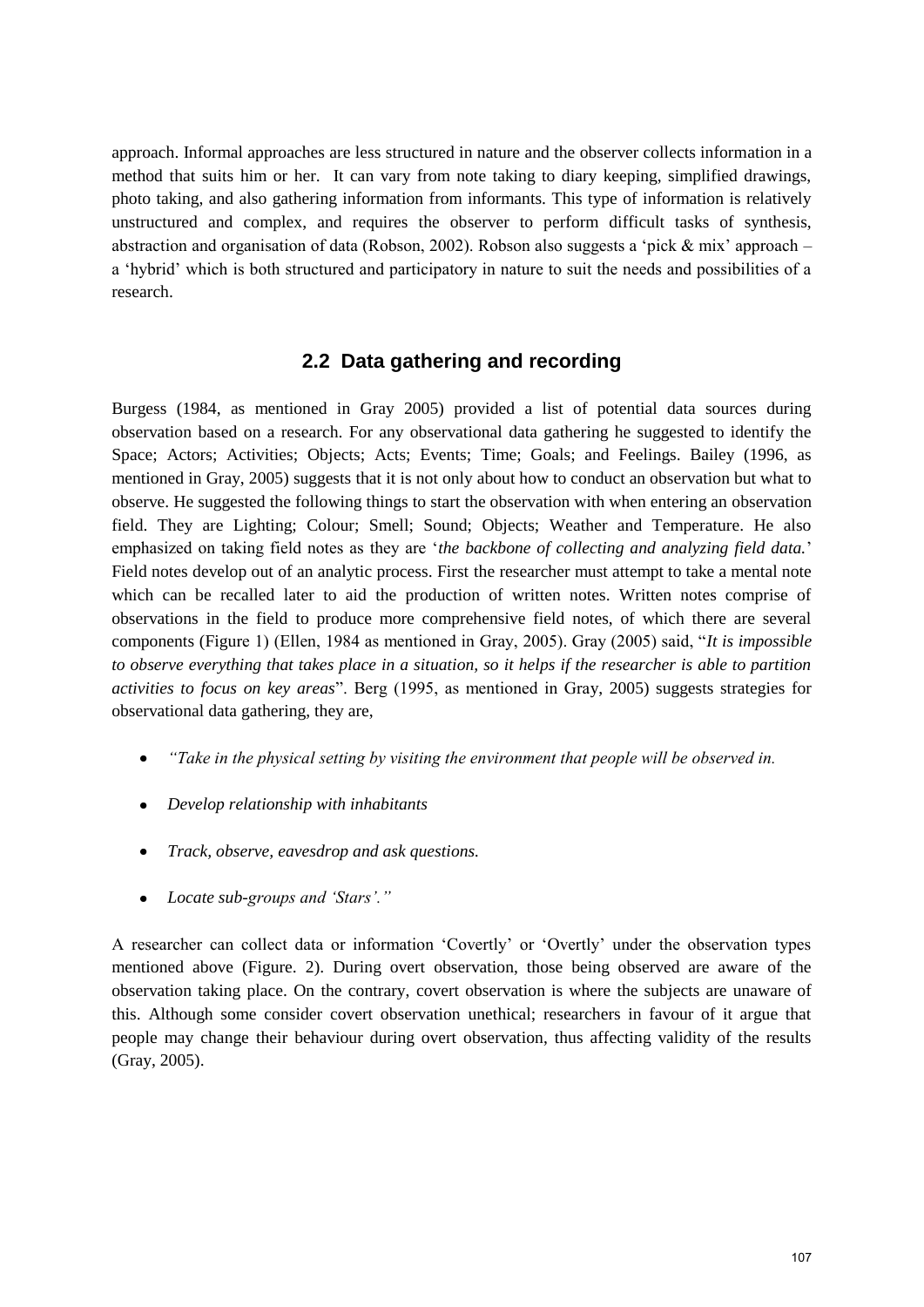approach. Informal approaches are less structured in nature and the observer collects information in a method that suits him or her. It can vary from note taking to diary keeping, simplified drawings, photo taking, and also gathering information from informants. This type of information is relatively unstructured and complex, and requires the observer to perform difficult tasks of synthesis, abstraction and organisation of data (Robson, 2002). Robson also suggests a "pick & mix" approach – a "hybrid" which is both structured and participatory in nature to suit the needs and possibilities of a research.

### **2.2 Data gathering and recording**

Burgess (1984, as mentioned in Gray 2005) provided a list of potential data sources during observation based on a research. For any observational data gathering he suggested to identify the Space; Actors; Activities; Objects; Acts; Events; Time; Goals; and Feelings. Bailey (1996, as mentioned in Gray, 2005) suggests that it is not only about how to conduct an observation but what to observe. He suggested the following things to start the observation with when entering an observation field. They are Lighting; Colour; Smell; Sound; Objects; Weather and Temperature. He also emphasized on taking field notes as they are "*the backbone of collecting and analyzing field data.*" Field notes develop out of an analytic process. First the researcher must attempt to take a mental note which can be recalled later to aid the production of written notes. Written notes comprise of observations in the field to produce more comprehensive field notes, of which there are several components (Figure 1) (Ellen, 1984 as mentioned in Gray, 2005). Gray (2005) said, "*It is impossible to observe everything that takes place in a situation, so it helps if the researcher is able to partition activities to focus on key areas*". Berg (1995, as mentioned in Gray, 2005) suggests strategies for observational data gathering, they are,

- *"Take in the physical setting by visiting the environment that people will be observed in.*
- *Develop relationship with inhabitants*
- *Track, observe, eavesdrop and ask questions.*
- $\bullet$ *Locate sub-groups and "Stars"."*

A researcher can collect data or information "Covertly" or "Overtly" under the observation types mentioned above (Figure. 2). During overt observation, those being observed are aware of the observation taking place. On the contrary, covert observation is where the subjects are unaware of this. Although some consider covert observation unethical; researchers in favour of it argue that people may change their behaviour during overt observation, thus affecting validity of the results (Gray, 2005).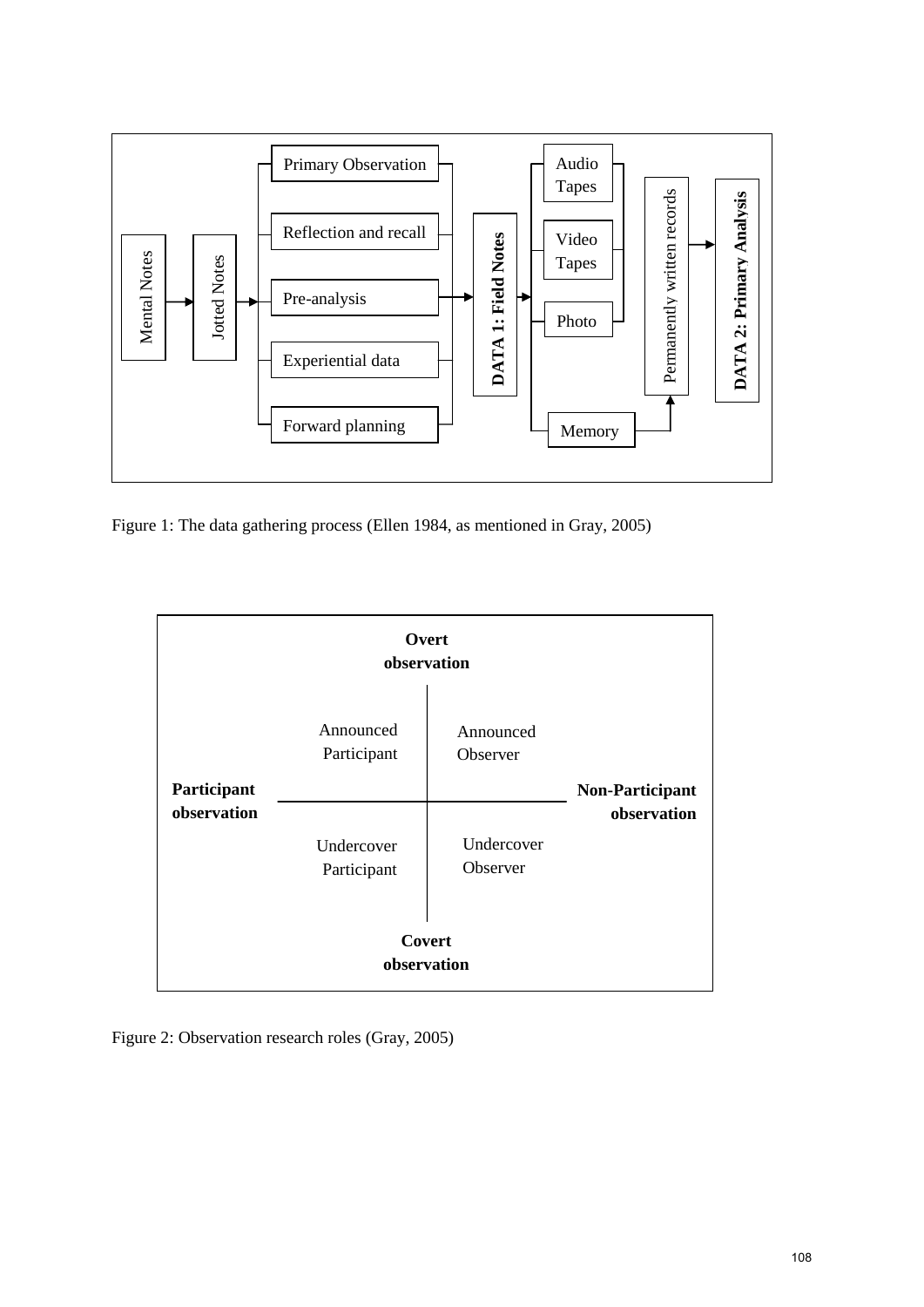

Figure 1: The data gathering process (Ellen 1984, as mentioned in Gray, 2005)



Figure 2: Observation research roles (Gray, 2005)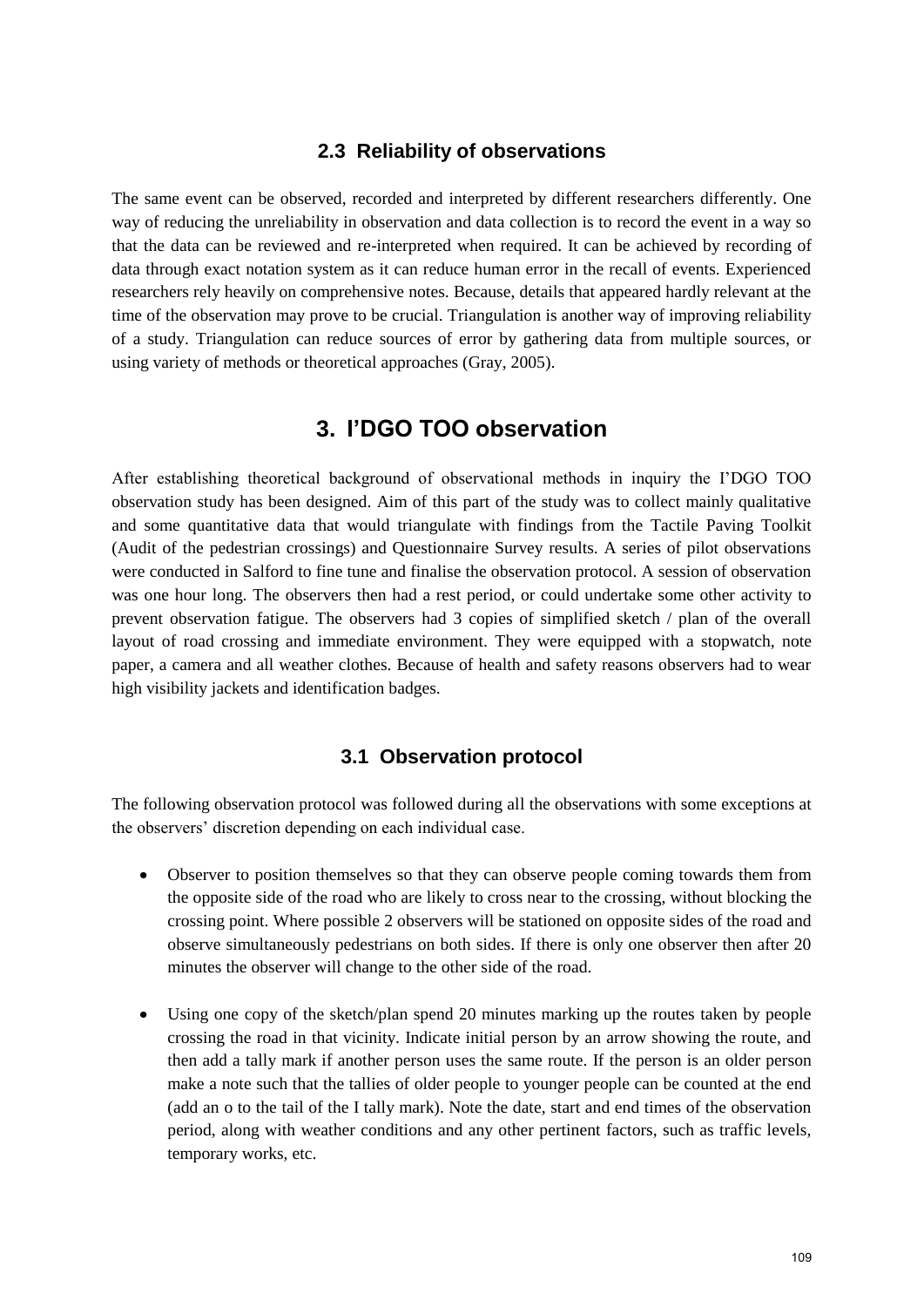#### **2.3 Reliability of observations**

The same event can be observed, recorded and interpreted by different researchers differently. One way of reducing the unreliability in observation and data collection is to record the event in a way so that the data can be reviewed and re-interpreted when required. It can be achieved by recording of data through exact notation system as it can reduce human error in the recall of events. Experienced researchers rely heavily on comprehensive notes. Because, details that appeared hardly relevant at the time of the observation may prove to be crucial. Triangulation is another way of improving reliability of a study. Triangulation can reduce sources of error by gathering data from multiple sources, or using variety of methods or theoretical approaches (Gray, 2005).

### **3. I'DGO TOO observation**

After establishing theoretical background of observational methods in inquiry the I"DGO TOO observation study has been designed. Aim of this part of the study was to collect mainly qualitative and some quantitative data that would triangulate with findings from the Tactile Paving Toolkit (Audit of the pedestrian crossings) and Questionnaire Survey results. A series of pilot observations were conducted in Salford to fine tune and finalise the observation protocol. A session of observation was one hour long. The observers then had a rest period, or could undertake some other activity to prevent observation fatigue. The observers had 3 copies of simplified sketch / plan of the overall layout of road crossing and immediate environment. They were equipped with a stopwatch, note paper, a camera and all weather clothes. Because of health and safety reasons observers had to wear high visibility jackets and identification badges.

#### **3.1 Observation protocol**

The following observation protocol was followed during all the observations with some exceptions at the observers" discretion depending on each individual case.

- Observer to position themselves so that they can observe people coming towards them from the opposite side of the road who are likely to cross near to the crossing, without blocking the crossing point. Where possible 2 observers will be stationed on opposite sides of the road and observe simultaneously pedestrians on both sides. If there is only one observer then after 20 minutes the observer will change to the other side of the road.
- Using one copy of the sketch/plan spend 20 minutes marking up the routes taken by people crossing the road in that vicinity. Indicate initial person by an arrow showing the route, and then add a tally mark if another person uses the same route. If the person is an older person make a note such that the tallies of older people to younger people can be counted at the end (add an o to the tail of the I tally mark). Note the date, start and end times of the observation period, along with weather conditions and any other pertinent factors, such as traffic levels, temporary works, etc.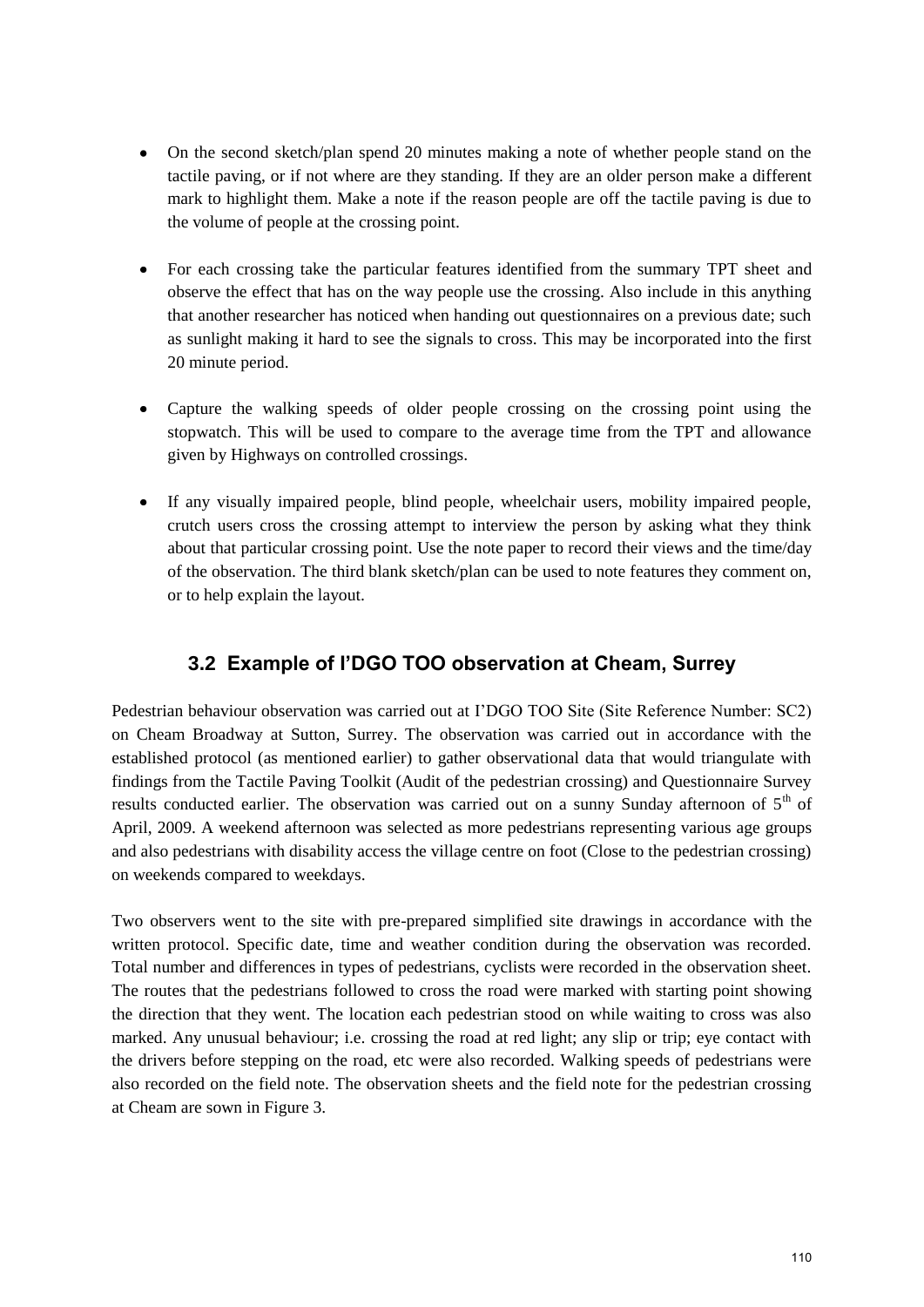- On the second sketch/plan spend 20 minutes making a note of whether people stand on the  $\bullet$ tactile paving, or if not where are they standing. If they are an older person make a different mark to highlight them. Make a note if the reason people are off the tactile paving is due to the volume of people at the crossing point.
- For each crossing take the particular features identified from the summary TPT sheet and observe the effect that has on the way people use the crossing. Also include in this anything that another researcher has noticed when handing out questionnaires on a previous date; such as sunlight making it hard to see the signals to cross. This may be incorporated into the first 20 minute period.
- Capture the walking speeds of older people crossing on the crossing point using the stopwatch. This will be used to compare to the average time from the TPT and allowance given by Highways on controlled crossings.
- If any visually impaired people, blind people, wheelchair users, mobility impaired people, crutch users cross the crossing attempt to interview the person by asking what they think about that particular crossing point. Use the note paper to record their views and the time/day of the observation. The third blank sketch/plan can be used to note features they comment on, or to help explain the layout.

### **3.2 Example of I'DGO TOO observation at Cheam, Surrey**

Pedestrian behaviour observation was carried out at I"DGO TOO Site (Site Reference Number: SC2) on Cheam Broadway at Sutton, Surrey. The observation was carried out in accordance with the established protocol (as mentioned earlier) to gather observational data that would triangulate with findings from the Tactile Paving Toolkit (Audit of the pedestrian crossing) and Questionnaire Survey results conducted earlier. The observation was carried out on a sunny Sunday afternoon of  $5<sup>th</sup>$  of April, 2009. A weekend afternoon was selected as more pedestrians representing various age groups and also pedestrians with disability access the village centre on foot (Close to the pedestrian crossing) on weekends compared to weekdays.

Two observers went to the site with pre-prepared simplified site drawings in accordance with the written protocol. Specific date, time and weather condition during the observation was recorded. Total number and differences in types of pedestrians, cyclists were recorded in the observation sheet. The routes that the pedestrians followed to cross the road were marked with starting point showing the direction that they went. The location each pedestrian stood on while waiting to cross was also marked. Any unusual behaviour; i.e. crossing the road at red light; any slip or trip; eye contact with the drivers before stepping on the road, etc were also recorded. Walking speeds of pedestrians were also recorded on the field note. The observation sheets and the field note for the pedestrian crossing at Cheam are sown in Figure 3.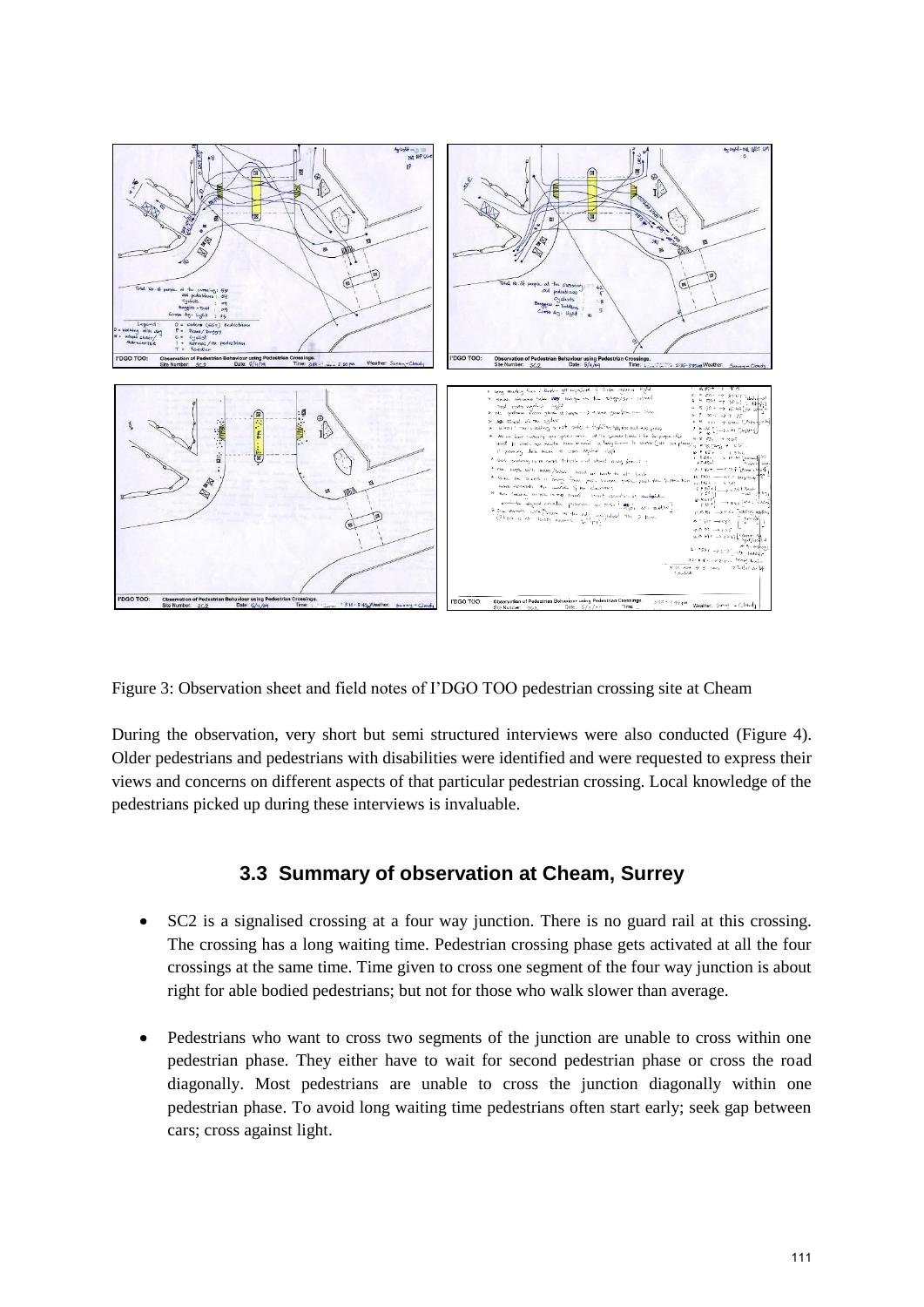

Figure 3: Observation sheet and field notes of I"DGO TOO pedestrian crossing site at Cheam

During the observation, very short but semi structured interviews were also conducted (Figure 4). Older pedestrians and pedestrians with disabilities were identified and were requested to express their views and concerns on different aspects of that particular pedestrian crossing. Local knowledge of the pedestrians picked up during these interviews is invaluable.

#### **3.3 Summary of observation at Cheam, Surrey**

- SC2 is a signalised crossing at a four way junction. There is no guard rail at this crossing. The crossing has a long waiting time. Pedestrian crossing phase gets activated at all the four crossings at the same time. Time given to cross one segment of the four way junction is about right for able bodied pedestrians; but not for those who walk slower than average.
- $\bullet$ Pedestrians who want to cross two segments of the junction are unable to cross within one pedestrian phase. They either have to wait for second pedestrian phase or cross the road diagonally. Most pedestrians are unable to cross the junction diagonally within one pedestrian phase. To avoid long waiting time pedestrians often start early; seek gap between cars; cross against light.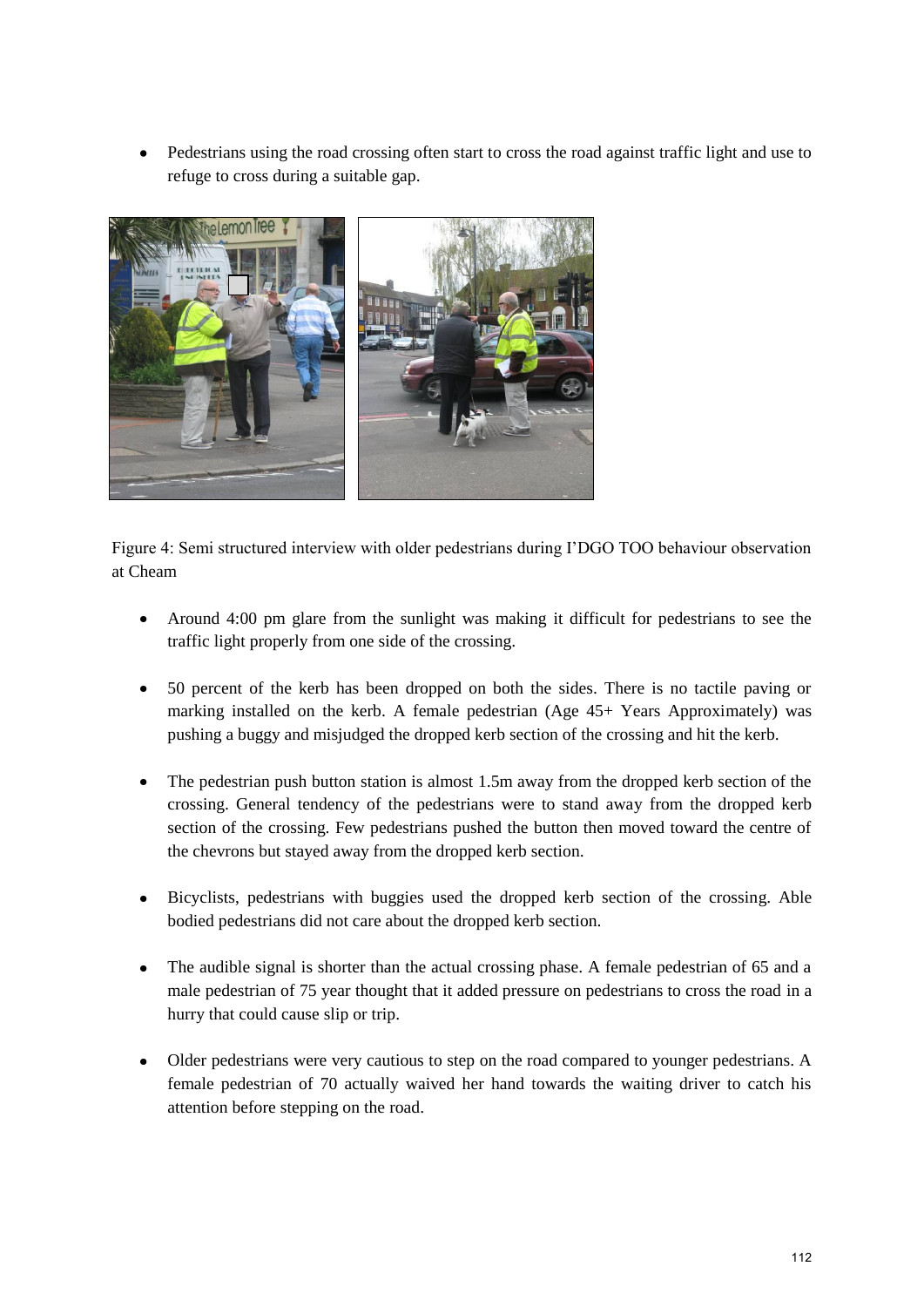Pedestrians using the road crossing often start to cross the road against traffic light and use to  $\bullet$ refuge to cross during a suitable gap.



Figure 4: Semi structured interview with older pedestrians during I"DGO TOO behaviour observation at Cheam

- Around 4:00 pm glare from the sunlight was making it difficult for pedestrians to see the traffic light properly from one side of the crossing.
- 50 percent of the kerb has been dropped on both the sides. There is no tactile paving or marking installed on the kerb. A female pedestrian (Age 45+ Years Approximately) was pushing a buggy and misjudged the dropped kerb section of the crossing and hit the kerb.
- $\bullet$ The pedestrian push button station is almost 1.5m away from the dropped kerb section of the crossing. General tendency of the pedestrians were to stand away from the dropped kerb section of the crossing. Few pedestrians pushed the button then moved toward the centre of the chevrons but stayed away from the dropped kerb section.
- $\bullet$ Bicyclists, pedestrians with buggies used the dropped kerb section of the crossing. Able bodied pedestrians did not care about the dropped kerb section.
- $\bullet$ The audible signal is shorter than the actual crossing phase. A female pedestrian of 65 and a male pedestrian of 75 year thought that it added pressure on pedestrians to cross the road in a hurry that could cause slip or trip.
- Older pedestrians were very cautious to step on the road compared to younger pedestrians. A female pedestrian of 70 actually waived her hand towards the waiting driver to catch his attention before stepping on the road.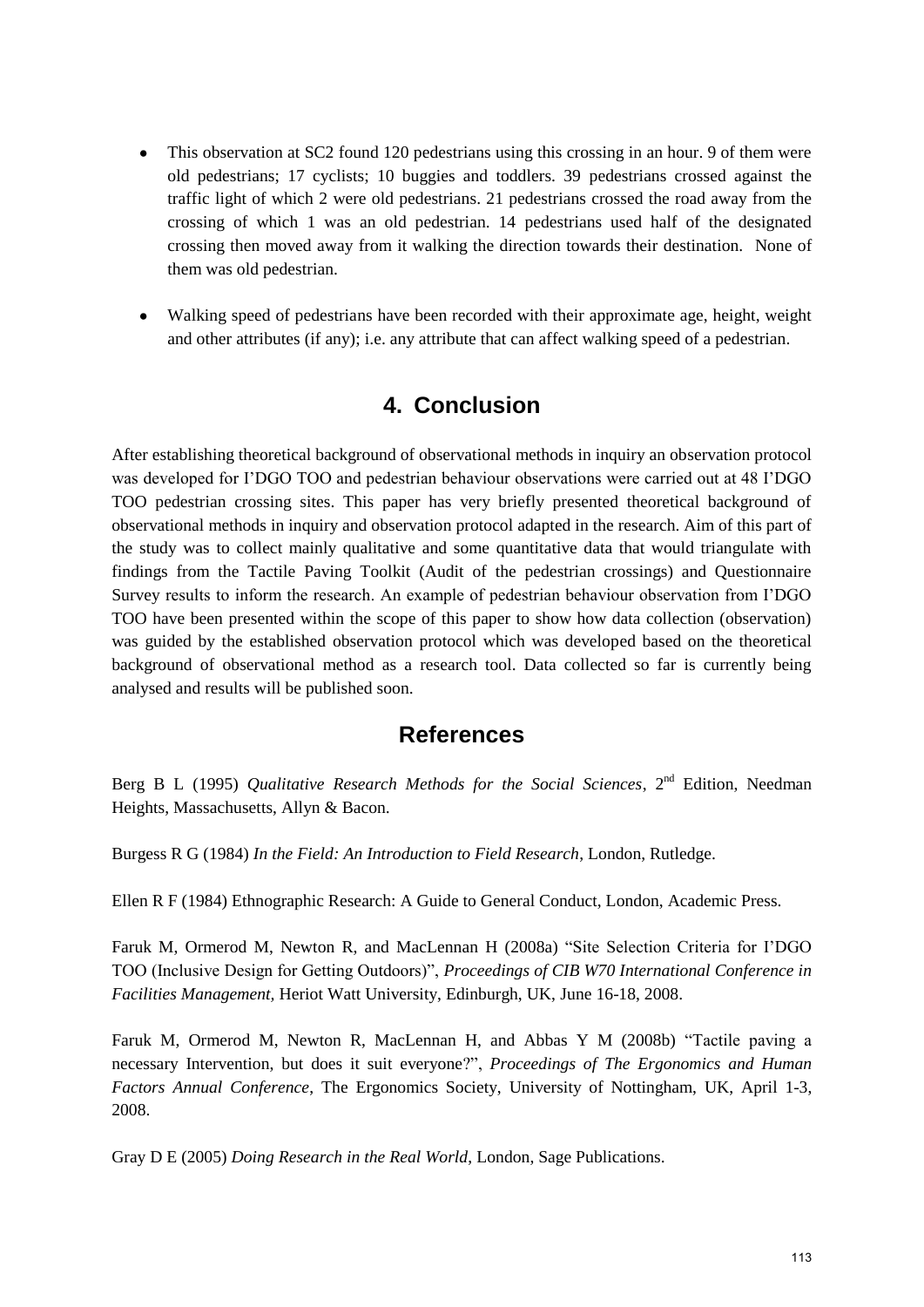- This observation at SC2 found 120 pedestrians using this crossing in an hour. 9 of them were  $\bullet$ old pedestrians; 17 cyclists; 10 buggies and toddlers. 39 pedestrians crossed against the traffic light of which 2 were old pedestrians. 21 pedestrians crossed the road away from the crossing of which 1 was an old pedestrian. 14 pedestrians used half of the designated crossing then moved away from it walking the direction towards their destination. None of them was old pedestrian.
- Walking speed of pedestrians have been recorded with their approximate age, height, weight and other attributes (if any); i.e. any attribute that can affect walking speed of a pedestrian.

## **4. Conclusion**

After establishing theoretical background of observational methods in inquiry an observation protocol was developed for I"DGO TOO and pedestrian behaviour observations were carried out at 48 I"DGO TOO pedestrian crossing sites. This paper has very briefly presented theoretical background of observational methods in inquiry and observation protocol adapted in the research. Aim of this part of the study was to collect mainly qualitative and some quantitative data that would triangulate with findings from the Tactile Paving Toolkit (Audit of the pedestrian crossings) and Questionnaire Survey results to inform the research. An example of pedestrian behaviour observation from I"DGO TOO have been presented within the scope of this paper to show how data collection (observation) was guided by the established observation protocol which was developed based on the theoretical background of observational method as a research tool. Data collected so far is currently being analysed and results will be published soon.

### **References**

Berg B L (1995) *Qualitative Research Methods for the Social Sciences*, 2<sup>nd</sup> Edition, Needman Heights, Massachusetts, Allyn & Bacon.

Burgess R G (1984) *In the Field: An Introduction to Field Research*, London, Rutledge.

Ellen R F (1984) Ethnographic Research: A Guide to General Conduct, London, Academic Press.

Faruk M, Ormerod M, Newton R, and MacLennan H (2008a) "Site Selection Criteria for I"DGO TOO (Inclusive Design for Getting Outdoors)", *Proceedings of CIB W70 International Conference in Facilities Management,* Heriot Watt University, Edinburgh, UK, June 16-18, 2008.

Faruk M, Ormerod M, Newton R, MacLennan H, and Abbas Y M (2008b) "Tactile paving a necessary Intervention, but does it suit everyone?", *Proceedings of The Ergonomics and Human Factors Annual Conference*, The Ergonomics Society, University of Nottingham, UK, April 1-3, 2008.

Gray D E (2005) *Doing Research in the Real World*, London, Sage Publications.